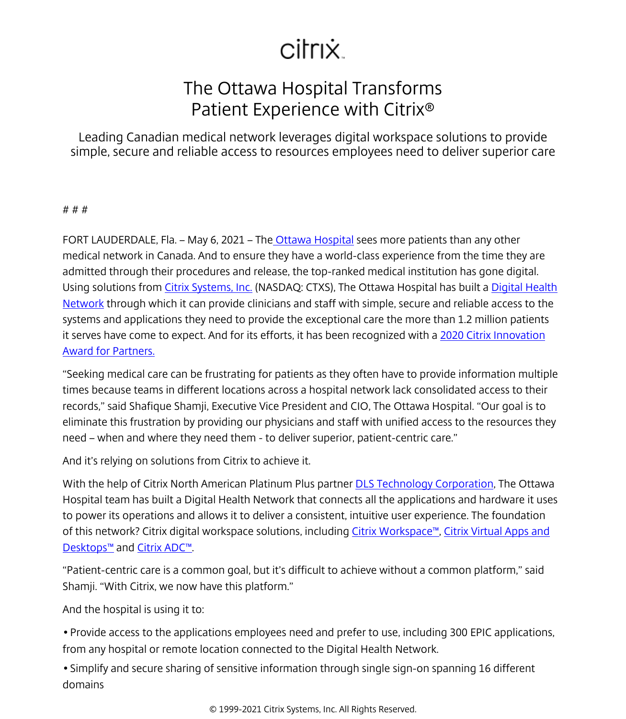## citrix.

## The Ottawa Hospital Transforms Patient Experience with Citrix®

Leading Canadian medical network leverages digital workspace solutions to provide simple, secure and reliable access to resources employees need to deliver superior care

## # # #

FORT LAUDERDALE, Fla. – May 6, 2021 – Th[e Ottawa Hospital](https://www.ottawahospital.on.ca/) sees more patients than any other medical network in Canada. And to ensure they have a world-class experience from the time they are admitted through their procedures and release, the top-ranked medical institution has gone digital. Using solutions from [Citrix Systems, Inc.](/content/citrix/en-gb/
            .html) (NASDAQ: CTXS), The Ottawa Hospital has built a [Digital Health](https://vimeo.com/bellwether/review/529067671/265fda8544) [Network](https://vimeo.com/bellwether/review/529067671/265fda8544) through which it can provide clinicians and staff with simple, secure and reliable access to the systems and applications they need to provide the exceptional care the more than 1.2 million patients it serves have come to expect. And for its efforts, it has been recognized with a [2020 Citrix Innovation](/content/citrix/en-gb/go/innovation/partner-innovation.html) [Award for Partners.](/content/citrix/en-gb/go/innovation/partner-innovation.html)

"Seeking medical care can be frustrating for patients as they often have to provide information multiple times because teams in different locations across a hospital network lack consolidated access to their records," said Shafique Shamji, Executive Vice President and CIO, The Ottawa Hospital. "Our goal is to eliminate this frustration by providing our physicians and staff with unified access to the resources they need – when and where they need them - to deliver superior, patient-centric care."

And it's relying on solutions from Citrix to achieve it.

With the help of Citrix North American Platinum Plus partner [DLS Technology Corporation,](https://dlstech.com/) The Ottawa Hospital team has built a Digital Health Network that connects all the applications and hardware it uses to power its operations and allows it to deliver a consistent, intuitive user experience. The foundation of this network? Citrix digital workspace solutions, including Citrix Workspace<sup>™</sup>, [Citrix Virtual Apps and](/content/citrix/en-gb/products/citrix-virtual-apps-and-desktops/
            .html) [Desktops™](/content/citrix/en-gb/products/citrix-virtual-apps-and-desktops/
            .html) and [Citrix ADC™](/content/citrix/en-gb/products/citrix-adc/
            .html).

"Patient-centric care is a common goal, but it's difficult to achieve without a common platform," said Shamji. "With Citrix, we now have this platform."

And the hospital is using it to:

• Provide access to the applications employees need and prefer to use, including 300 EPIC applications, from any hospital or remote location connected to the Digital Health Network.

• Simplify and secure sharing of sensitive information through single sign-on spanning 16 different domains